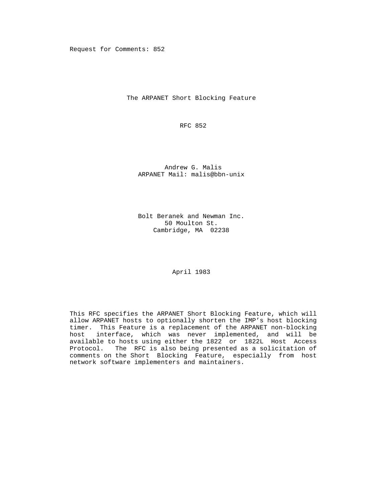Request for Comments: 852

The ARPANET Short Blocking Feature

RFC 852

 Andrew G. Malis ARPANET Mail: malis@bbn-unix

 Bolt Beranek and Newman Inc. 50 Moulton St. Cambridge, MA 02238

April 1983

 This RFC specifies the ARPANET Short Blocking Feature, which will allow ARPANET hosts to optionally shorten the IMP's host blocking timer. This Feature is a replacement of the ARPANET non-blocking host interface, which was never implemented, and will be available to hosts using either the 1822 or 1822L Host Access Protocol. The RFC is also being presented as a solicitation of comments on the Short Blocking Feature, especially from host network software implementers and maintainers.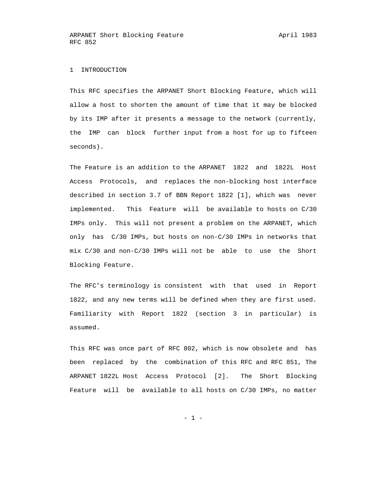## 1 INTRODUCTION

 This RFC specifies the ARPANET Short Blocking Feature, which will allow a host to shorten the amount of time that it may be blocked by its IMP after it presents a message to the network (currently, the IMP can block further input from a host for up to fifteen seconds).

 The Feature is an addition to the ARPANET 1822 and 1822L Host Access Protocols, and replaces the non-blocking host interface described in section 3.7 of BBN Report 1822 [1], which was never implemented. This Feature will be available to hosts on C/30 IMPs only. This will not present a problem on the ARPANET, which only has C/30 IMPs, but hosts on non-C/30 IMPs in networks that mix C/30 and non-C/30 IMPs will not be able to use the Short Blocking Feature.

 The RFC's terminology is consistent with that used in Report 1822, and any new terms will be defined when they are first used. Familiarity with Report 1822 (section 3 in particular) is assumed.

 This RFC was once part of RFC 802, which is now obsolete and has been replaced by the combination of this RFC and RFC 851, The ARPANET 1822L Host Access Protocol [2]. The Short Blocking Feature will be available to all hosts on C/30 IMPs, no matter

- 1 -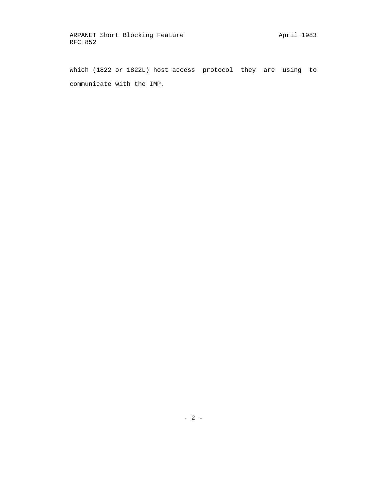which (1822 or 1822L) host access protocol they are using to communicate with the IMP.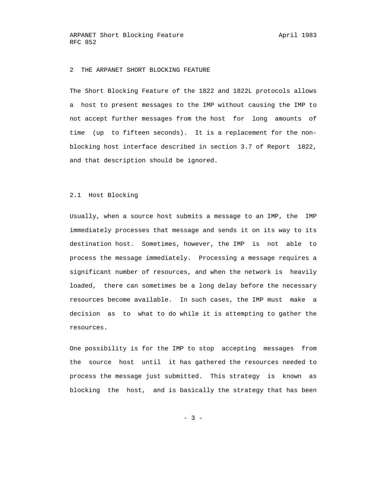ARPANET Short Blocking Feature April 1983 RFC 852

### 2 THE ARPANET SHORT BLOCKING FEATURE

 The Short Blocking Feature of the 1822 and 1822L protocols allows a host to present messages to the IMP without causing the IMP to not accept further messages from the host for long amounts of time (up to fifteen seconds). It is a replacement for the non blocking host interface described in section 3.7 of Report 1822, and that description should be ignored.

# 2.1 Host Blocking

 Usually, when a source host submits a message to an IMP, the IMP immediately processes that message and sends it on its way to its destination host. Sometimes, however, the IMP is not able to process the message immediately. Processing a message requires a significant number of resources, and when the network is heavily loaded, there can sometimes be a long delay before the necessary resources become available. In such cases, the IMP must make a decision as to what to do while it is attempting to gather the resources.

 One possibility is for the IMP to stop accepting messages from the source host until it has gathered the resources needed to process the message just submitted. This strategy is known as blocking the host, and is basically the strategy that has been

 $- 3 -$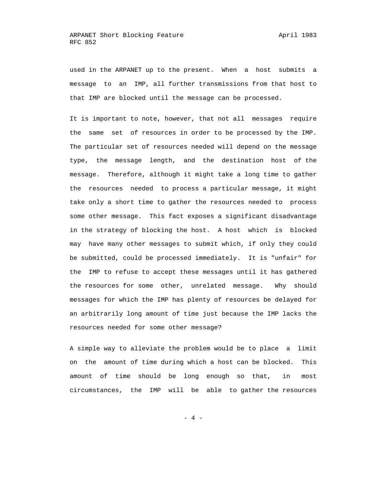used in the ARPANET up to the present. When a host submits a message to an IMP, all further transmissions from that host to that IMP are blocked until the message can be processed.

 It is important to note, however, that not all messages require the same set of resources in order to be processed by the IMP. The particular set of resources needed will depend on the message type, the message length, and the destination host of the message. Therefore, although it might take a long time to gather the resources needed to process a particular message, it might take only a short time to gather the resources needed to process some other message. This fact exposes a significant disadvantage in the strategy of blocking the host. A host which is blocked may have many other messages to submit which, if only they could be submitted, could be processed immediately. It is "unfair" for the IMP to refuse to accept these messages until it has gathered the resources for some other, unrelated message. Why should messages for which the IMP has plenty of resources be delayed for an arbitrarily long amount of time just because the IMP lacks the resources needed for some other message?

 A simple way to alleviate the problem would be to place a limit on the amount of time during which a host can be blocked. This amount of time should be long enough so that, in most circumstances, the IMP will be able to gather the resources

- 4 -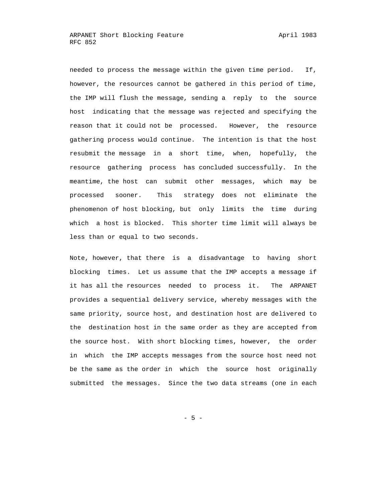needed to process the message within the given time period. If, however, the resources cannot be gathered in this period of time, the IMP will flush the message, sending a reply to the source host indicating that the message was rejected and specifying the reason that it could not be processed. However, the resource gathering process would continue. The intention is that the host resubmit the message in a short time, when, hopefully, the resource gathering process has concluded successfully. In the meantime, the host can submit other messages, which may be processed sooner. This strategy does not eliminate the phenomenon of host blocking, but only limits the time during which a host is blocked. This shorter time limit will always be less than or equal to two seconds.

 Note, however, that there is a disadvantage to having short blocking times. Let us assume that the IMP accepts a message if it has all the resources needed to process it. The ARPANET provides a sequential delivery service, whereby messages with the same priority, source host, and destination host are delivered to the destination host in the same order as they are accepted from the source host. With short blocking times, however, the order in which the IMP accepts messages from the source host need not be the same as the order in which the source host originally submitted the messages. Since the two data streams (one in each

 $- 5 -$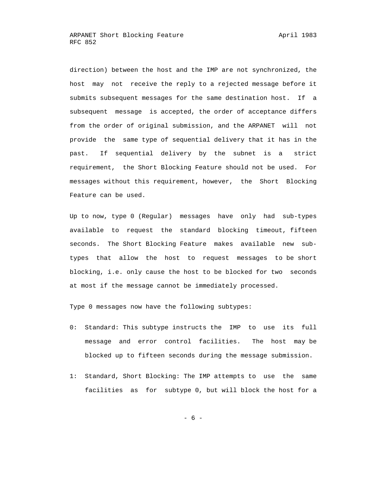direction) between the host and the IMP are not synchronized, the host may not receive the reply to a rejected message before it submits subsequent messages for the same destination host. If a subsequent message is accepted, the order of acceptance differs from the order of original submission, and the ARPANET will not provide the same type of sequential delivery that it has in the past. If sequential delivery by the subnet is a strict requirement, the Short Blocking Feature should not be used. For messages without this requirement, however, the Short Blocking Feature can be used.

 Up to now, type 0 (Regular) messages have only had sub-types available to request the standard blocking timeout, fifteen seconds. The Short Blocking Feature makes available new sub types that allow the host to request messages to be short blocking, i.e. only cause the host to be blocked for two seconds at most if the message cannot be immediately processed.

Type 0 messages now have the following subtypes:

- 0: Standard: This subtype instructs the IMP to use its full message and error control facilities. The host may be blocked up to fifteen seconds during the message submission.
- 1: Standard, Short Blocking: The IMP attempts to use the same facilities as for subtype 0, but will block the host for a

- 6 -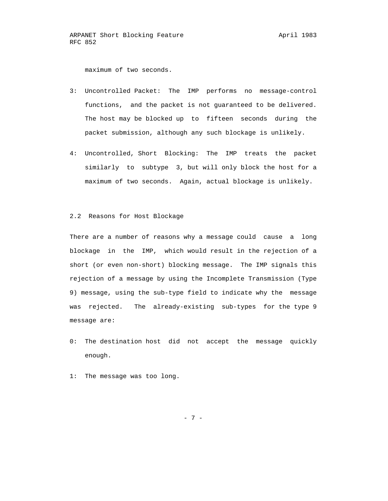maximum of two seconds.

- 3: Uncontrolled Packet: The IMP performs no message-control functions, and the packet is not guaranteed to be delivered. The host may be blocked up to fifteen seconds during the packet submission, although any such blockage is unlikely.
- 4: Uncontrolled, Short Blocking: The IMP treats the packet similarly to subtype 3, but will only block the host for a maximum of two seconds. Again, actual blockage is unlikely.

## 2.2 Reasons for Host Blockage

 There are a number of reasons why a message could cause a long blockage in the IMP, which would result in the rejection of a short (or even non-short) blocking message. The IMP signals this rejection of a message by using the Incomplete Transmission (Type 9) message, using the sub-type field to indicate why the message was rejected. The already-existing sub-types for the type 9 message are:

- 0: The destination host did not accept the message quickly enough.
- 1: The message was too long.

- 7 -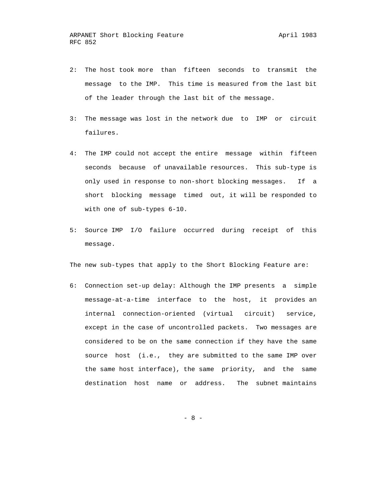- 2: The host took more than fifteen seconds to transmit the message to the IMP. This time is measured from the last bit of the leader through the last bit of the message.
- 3: The message was lost in the network due to IMP or circuit failures.
- 4: The IMP could not accept the entire message within fifteen seconds because of unavailable resources. This sub-type is only used in response to non-short blocking messages. If a short blocking message timed out, it will be responded to with one of sub-types 6-10.
- 5: Source IMP I/O failure occurred during receipt of this message.

The new sub-types that apply to the Short Blocking Feature are:

 6: Connection set-up delay: Although the IMP presents a simple message-at-a-time interface to the host, it provides an internal connection-oriented (virtual circuit) service, except in the case of uncontrolled packets. Two messages are considered to be on the same connection if they have the same source host (i.e., they are submitted to the same IMP over the same host interface), the same priority, and the same destination host name or address. The subnet maintains

- 8 -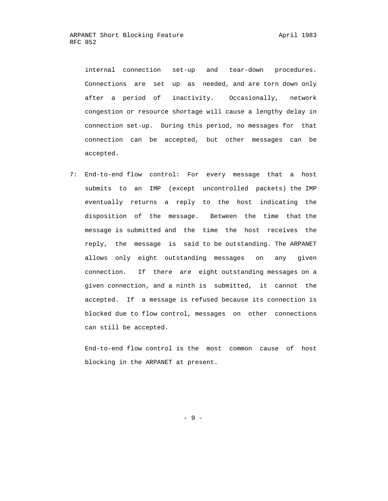internal connection set-up and tear-down procedures. Connections are set up as needed, and are torn down only after a period of inactivity. Occasionally, network congestion or resource shortage will cause a lengthy delay in connection set-up. During this period, no messages for that connection can be accepted, but other messages can be accepted.

 7: End-to-end flow control: For every message that a host submits to an IMP (except uncontrolled packets) the IMP eventually returns a reply to the host indicating the disposition of the message. Between the time that the message is submitted and the time the host receives the reply, the message is said to be outstanding. The ARPANET allows only eight outstanding messages on any given connection. If there are eight outstanding messages on a given connection, and a ninth is submitted, it cannot the accepted. If a message is refused because its connection is blocked due to flow control, messages on other connections can still be accepted.

 End-to-end flow control is the most common cause of host blocking in the ARPANET at present.

- 9 -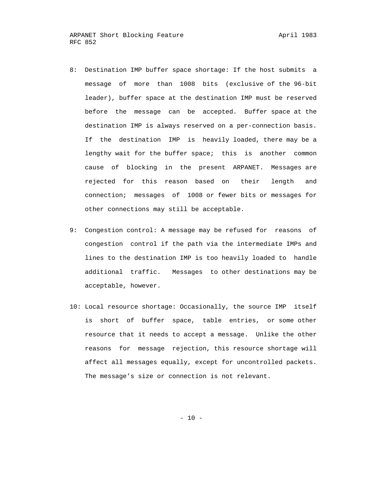- 8: Destination IMP buffer space shortage: If the host submits a message of more than 1008 bits (exclusive of the 96-bit leader), buffer space at the destination IMP must be reserved before the message can be accepted. Buffer space at the destination IMP is always reserved on a per-connection basis. If the destination IMP is heavily loaded, there may be a lengthy wait for the buffer space; this is another common cause of blocking in the present ARPANET. Messages are rejected for this reason based on their length and connection; messages of 1008 or fewer bits or messages for other connections may still be acceptable.
- 9: Congestion control: A message may be refused for reasons of congestion control if the path via the intermediate IMPs and lines to the destination IMP is too heavily loaded to handle additional traffic. Messages to other destinations may be acceptable, however.
- 10: Local resource shortage: Occasionally, the source IMP itself is short of buffer space, table entries, or some other resource that it needs to accept a message. Unlike the other reasons for message rejection, this resource shortage will affect all messages equally, except for uncontrolled packets. The message's size or connection is not relevant.

 $- 10 -$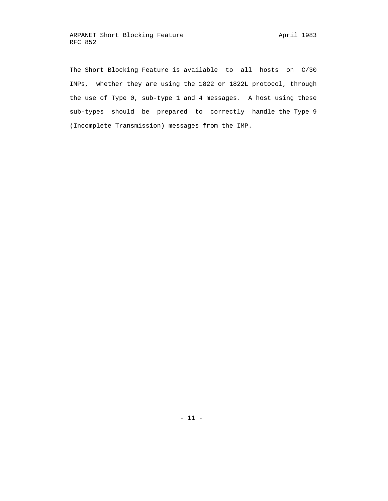The Short Blocking Feature is available to all hosts on C/30 IMPs, whether they are using the 1822 or 1822L protocol, through the use of Type 0, sub-type 1 and 4 messages. A host using these sub-types should be prepared to correctly handle the Type 9 (Incomplete Transmission) messages from the IMP.